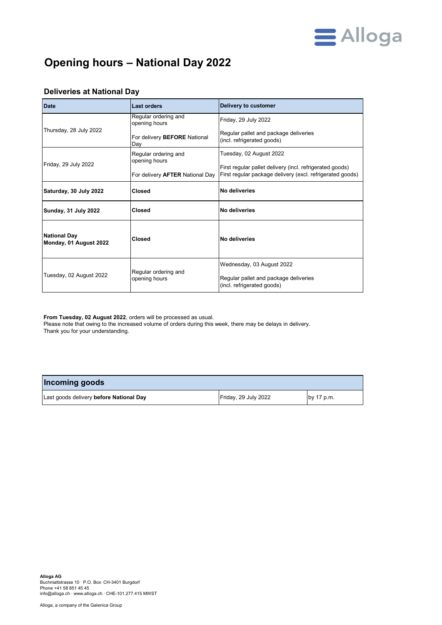

## **Opening hours – National Day 2022**

| <b>Date</b>                                   | <b>Last orders</b>                    | Delivery to customer                                                                                                  |
|-----------------------------------------------|---------------------------------------|-----------------------------------------------------------------------------------------------------------------------|
| Thursday, 28 July 2022                        | Regular ordering and<br>opening hours | Friday, 29 July 2022                                                                                                  |
|                                               | For delivery BEFORE National<br>Day   | Regular pallet and package deliveries<br>(incl. refrigerated goods)                                                   |
|                                               | Regular ordering and<br>opening hours | Tuesday, 02 August 2022                                                                                               |
| Friday, 29 July 2022                          | For delivery AFTER National Day       | First regular pallet delivery (incl. refrigerated goods)<br>First regular package delivery (excl. refrigerated goods) |
| Saturday, 30 July 2022                        | <b>Closed</b>                         | No deliveries                                                                                                         |
| Sunday, 31 July 2022                          | Closed                                | No deliveries                                                                                                         |
| <b>National Day</b><br>Monday, 01 August 2022 | Closed                                | No deliveries                                                                                                         |
| Tuesday, 02 August 2022                       | Regular ordering and<br>opening hours | Wednesday, 03 August 2022<br>Regular pallet and package deliveries<br>(incl. refrigerated goods)                      |

## **Deliveries at National Day**

**From Tuesday, 02 August 2022**, orders will be processed as usual. Please note that owing to the increased volume of orders during this week, there may be delays in delivery.

Thank you for your understanding.

| Incoming goods                          |                      |            |  |  |
|-----------------------------------------|----------------------|------------|--|--|
| Last goods delivery before National Day | Friday, 29 July 2022 | by 17 p.m. |  |  |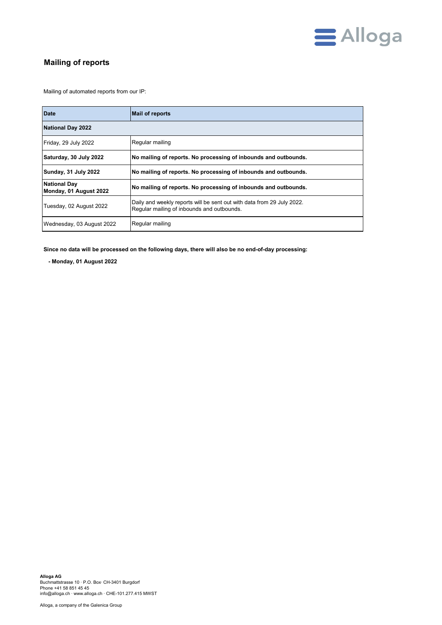

## **Mailing of reports**

Mailing of automated reports from our IP:

| <b>Date</b>                                   | <b>Mail of reports</b>                                                                                               |  |
|-----------------------------------------------|----------------------------------------------------------------------------------------------------------------------|--|
| <b>National Day 2022</b>                      |                                                                                                                      |  |
| Friday, 29 July 2022                          | Regular mailing                                                                                                      |  |
| Saturday, 30 July 2022                        | No mailing of reports. No processing of inbounds and outbounds.                                                      |  |
| Sunday, 31 July 2022                          | No mailing of reports. No processing of inbounds and outbounds.                                                      |  |
| <b>National Day</b><br>Monday, 01 August 2022 | No mailing of reports. No processing of inbounds and outbounds.                                                      |  |
| Tuesday, 02 August 2022                       | Daily and weekly reports will be sent out with data from 29 July 2022.<br>Regular mailing of inbounds and outbounds. |  |
| Wednesday, 03 August 2022                     | Regular mailing                                                                                                      |  |

**Since no data will be processed on the following days, there will also be no end-of-day processing:**

 **- Monday, 01 August 2022**